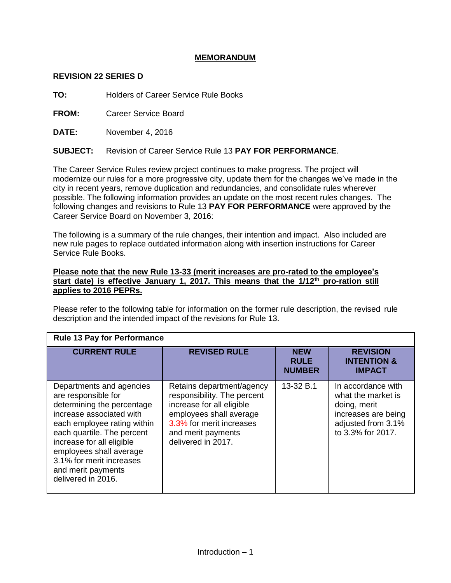# **MEMORANDUM**

# **REVISION 22 SERIES D**

**TO:** Holders of Career Service Rule Books

**FROM:** Career Service Board

**DATE:** November 4, 2016

**SUBJECT:** Revision of Career Service Rule 13 **PAY FOR PERFORMANCE**.

The Career Service Rules review project continues to make progress. The project will modernize our rules for a more progressive city, update them for the changes we've made in the city in recent years, remove duplication and redundancies, and consolidate rules wherever possible. The following information provides an update on the most recent rules changes. The following changes and revisions to Rule 13 **PAY FOR PERFORMANCE** were approved by the Career Service Board on November 3, 2016:

The following is a summary of the rule changes, their intention and impact. Also included are new rule pages to replace outdated information along with insertion instructions for Career Service Rule Books.

## **Please note that the new Rule 13-33 (merit increases are pro-rated to the employee's start date) is effective January 1, 2017. This means that the 1/12th pro-ration still applies to 2016 PEPRs.**

Please refer to the following table for information on the former rule description, the revised rule description and the intended impact of the revisions for Rule 13.

| <b>Rule 13 Pay for Performance</b>                                                                                                                                                                                                                                                                     |                                                                                                                                                                                          |                                            |                                                                                                                            |
|--------------------------------------------------------------------------------------------------------------------------------------------------------------------------------------------------------------------------------------------------------------------------------------------------------|------------------------------------------------------------------------------------------------------------------------------------------------------------------------------------------|--------------------------------------------|----------------------------------------------------------------------------------------------------------------------------|
| <b>CURRENT RULE</b>                                                                                                                                                                                                                                                                                    | <b>REVISED RULE</b>                                                                                                                                                                      | <b>NEW</b><br><b>RULE</b><br><b>NUMBER</b> | <b>REVISION</b><br><b>INTENTION &amp;</b><br><b>IMPACT</b>                                                                 |
| Departments and agencies<br>are responsible for<br>determining the percentage<br>increase associated with<br>each employee rating within<br>each quartile. The percent<br>increase for all eligible<br>employees shall average<br>3.1% for merit increases<br>and merit payments<br>delivered in 2016. | Retains department/agency<br>responsibility. The percent<br>increase for all eligible<br>employees shall average<br>3.3% for merit increases<br>and merit payments<br>delivered in 2017. | 13-32 B.1                                  | In accordance with<br>what the market is<br>doing, merit<br>increases are being<br>adjusted from 3.1%<br>to 3.3% for 2017. |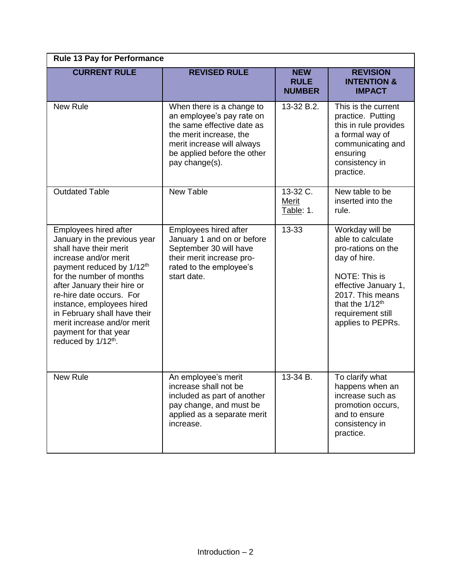| <b>Rule 13 Pay for Performance</b>                                                                                                                                                                                                                                                                                                                                                               |                                                                                                                                                                                                              |                                            |                                                                                                                                                                                                                  |  |
|--------------------------------------------------------------------------------------------------------------------------------------------------------------------------------------------------------------------------------------------------------------------------------------------------------------------------------------------------------------------------------------------------|--------------------------------------------------------------------------------------------------------------------------------------------------------------------------------------------------------------|--------------------------------------------|------------------------------------------------------------------------------------------------------------------------------------------------------------------------------------------------------------------|--|
| <b>CURRENT RULE</b>                                                                                                                                                                                                                                                                                                                                                                              | <b>REVISED RULE</b>                                                                                                                                                                                          | <b>NEW</b><br><b>RULE</b><br><b>NUMBER</b> | <b>REVISION</b><br><b>INTENTION &amp;</b><br><b>IMPACT</b>                                                                                                                                                       |  |
| <b>New Rule</b>                                                                                                                                                                                                                                                                                                                                                                                  | When there is a change to<br>13-32 B.2.<br>an employee's pay rate on<br>the same effective date as<br>the merit increase, the<br>merit increase will always<br>be applied before the other<br>pay change(s). |                                            | This is the current<br>practice. Putting<br>this in rule provides<br>a formal way of<br>communicating and<br>ensuring<br>consistency in<br>practice.                                                             |  |
| <b>Outdated Table</b>                                                                                                                                                                                                                                                                                                                                                                            | New Table                                                                                                                                                                                                    | 13-32 C.<br>Merit<br>Table: 1.             | New table to be<br>inserted into the<br>rule.                                                                                                                                                                    |  |
| Employees hired after<br>January in the previous year<br>shall have their merit<br>increase and/or merit<br>payment reduced by 1/12 <sup>th</sup><br>for the number of months<br>after January their hire or<br>re-hire date occurs. For<br>instance, employees hired<br>in February shall have their<br>merit increase and/or merit<br>payment for that year<br>reduced by 1/12 <sup>th</sup> . | Employees hired after<br>January 1 and on or before<br>September 30 will have<br>their merit increase pro-<br>rated to the employee's<br>start date.                                                         | 13-33                                      | Workday will be<br>able to calculate<br>pro-rations on the<br>day of hire.<br>NOTE: This is<br>effective January 1,<br>2017. This means<br>that the 1/12 <sup>th</sup><br>requirement still<br>applies to PEPRs. |  |
| New Rule                                                                                                                                                                                                                                                                                                                                                                                         | An employee's merit<br>increase shall not be<br>included as part of another<br>pay change, and must be<br>applied as a separate merit<br>increase.                                                           | 13-34 B.                                   | To clarify what<br>happens when an<br>increase such as<br>promotion occurs,<br>and to ensure<br>consistency in<br>practice.                                                                                      |  |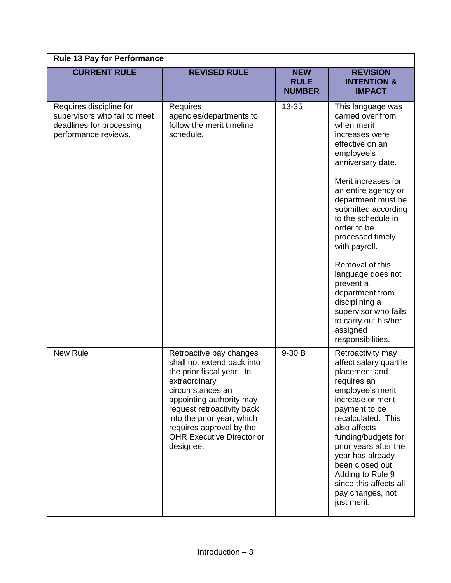| <b>Rule 13 Pay for Performance</b>                                                                          |                                                                                                                                                                                                                                                                                              |                                            |                                                                                                                                                                                                                                                                                                                                                                                                                                                                              |  |
|-------------------------------------------------------------------------------------------------------------|----------------------------------------------------------------------------------------------------------------------------------------------------------------------------------------------------------------------------------------------------------------------------------------------|--------------------------------------------|------------------------------------------------------------------------------------------------------------------------------------------------------------------------------------------------------------------------------------------------------------------------------------------------------------------------------------------------------------------------------------------------------------------------------------------------------------------------------|--|
| <b>CURRENT RULE</b>                                                                                         | <b>REVISED RULE</b>                                                                                                                                                                                                                                                                          | <b>NEW</b><br><b>RULE</b><br><b>NUMBER</b> | <b>REVISION</b><br><b>INTENTION &amp;</b><br><b>IMPACT</b>                                                                                                                                                                                                                                                                                                                                                                                                                   |  |
| Requires discipline for<br>supervisors who fail to meet<br>deadlines for processing<br>performance reviews. | Requires<br>agencies/departments to<br>follow the merit timeline<br>schedule.                                                                                                                                                                                                                | 13-35                                      | This language was<br>carried over from<br>when merit<br>increases were<br>effective on an<br>employee's<br>anniversary date.<br>Merit increases for<br>an entire agency or<br>department must be<br>submitted according<br>to the schedule in<br>order to be<br>processed timely<br>with payroll.<br>Removal of this<br>language does not<br>prevent a<br>department from<br>disciplining a<br>supervisor who fails<br>to carry out his/her<br>assigned<br>responsibilities. |  |
| <b>New Rule</b>                                                                                             | Retroactive pay changes<br>shall not extend back into<br>the prior fiscal year. In<br>extraordinary<br>circumstances an<br>appointing authority may<br>request retroactivity back<br>into the prior year, which<br>requires approval by the<br><b>OHR Executive Director or</b><br>designee. | 9-30 B                                     | Retroactivity may<br>affect salary quartile<br>placement and<br>requires an<br>employee's merit<br>increase or merit<br>payment to be<br>recalculated. This<br>also affects<br>funding/budgets for<br>prior years after the<br>year has already<br>been closed out.<br>Adding to Rule 9<br>since this affects all<br>pay changes, not<br>just merit.                                                                                                                         |  |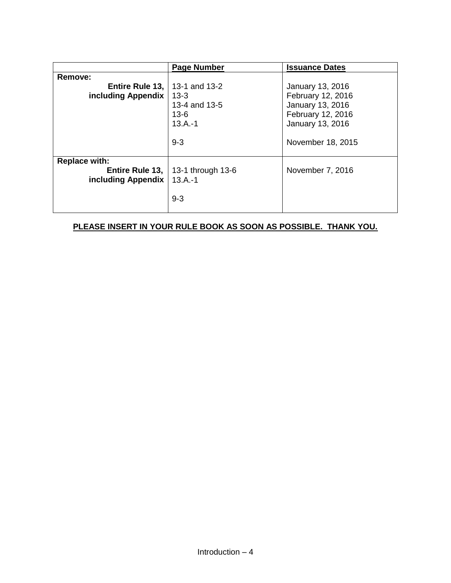|                                                              | <b>Page Number</b>                                                 | <b>Issuance Dates</b>                                                                                                   |  |
|--------------------------------------------------------------|--------------------------------------------------------------------|-------------------------------------------------------------------------------------------------------------------------|--|
| Remove:                                                      |                                                                    |                                                                                                                         |  |
| <b>Entire Rule 13,   13-1 and 13-2</b><br>including Appendix | $13 - 3$<br>13-4 and 13-5<br>$13-6$<br>$13.A.-1$<br>$9 - 3$        | January 13, 2016<br>February 12, 2016<br>January 13, 2016<br>February 12, 2016<br>January 13, 2016<br>November 18, 2015 |  |
| <b>Replace with:</b><br>including Appendix                   | <b>Entire Rule 13,   13-1 through 13-6</b><br>$13.A.-1$<br>$9 - 3$ | November 7, 2016                                                                                                        |  |

# **PLEASE INSERT IN YOUR RULE BOOK AS SOON AS POSSIBLE. THANK YOU.**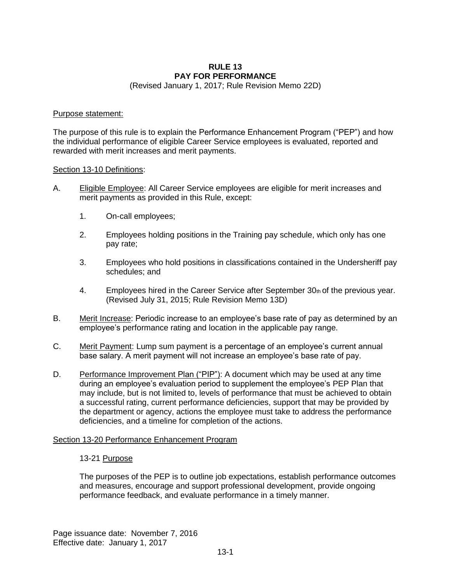# **RULE 13 PAY FOR PERFORMANCE**

(Revised January 1, 2017; Rule Revision Memo 22D)

#### Purpose statement:

The purpose of this rule is to explain the Performance Enhancement Program ("PEP") and how the individual performance of eligible Career Service employees is evaluated, reported and rewarded with merit increases and merit payments.

### Section 13-10 Definitions:

- A. Eligible Employee: All Career Service employees are eligible for merit increases and merit payments as provided in this Rule, except:
	- 1. On-call employees;
	- 2. Employees holding positions in the Training pay schedule, which only has one pay rate;
	- 3. Employees who hold positions in classifications contained in the Undersheriff pay schedules; and
	- 4. Employees hired in the Career Service after September 30th of the previous year. (Revised July 31, 2015; Rule Revision Memo 13D)
- B. Merit Increase: Periodic increase to an employee's base rate of pay as determined by an employee's performance rating and location in the applicable pay range.
- C. Merit Payment: Lump sum payment is a percentage of an employee's current annual base salary. A merit payment will not increase an employee's base rate of pay.
- D. Performance Improvement Plan ("PIP"): A document which may be used at any time during an employee's evaluation period to supplement the employee's PEP Plan that may include, but is not limited to, levels of performance that must be achieved to obtain a successful rating, current performance deficiencies, support that may be provided by the department or agency, actions the employee must take to address the performance deficiencies, and a timeline for completion of the actions.

#### Section 13-20 Performance Enhancement Program

#### 13-21 Purpose

The purposes of the PEP is to outline job expectations, establish performance outcomes and measures, encourage and support professional development, provide ongoing performance feedback, and evaluate performance in a timely manner.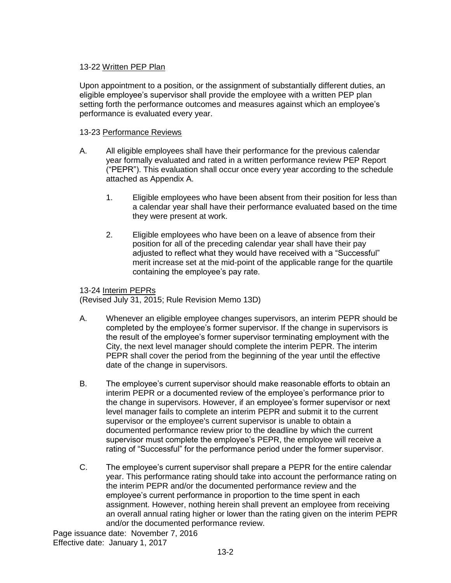# 13-22 Written PEP Plan

Upon appointment to a position, or the assignment of substantially different duties, an eligible employee's supervisor shall provide the employee with a written PEP plan setting forth the performance outcomes and measures against which an employee's performance is evaluated every year.

# 13-23 Performance Reviews

- A. All eligible employees shall have their performance for the previous calendar year formally evaluated and rated in a written performance review PEP Report ("PEPR"). This evaluation shall occur once every year according to the schedule attached as Appendix A.
	- 1. Eligible employees who have been absent from their position for less than a calendar year shall have their performance evaluated based on the time they were present at work.
	- 2. Eligible employees who have been on a leave of absence from their position for all of the preceding calendar year shall have their pay adjusted to reflect what they would have received with a "Successful" merit increase set at the mid-point of the applicable range for the quartile containing the employee's pay rate.

## 13-24 Interim PEPRs

(Revised July 31, 2015; Rule Revision Memo 13D)

- A. Whenever an eligible employee changes supervisors, an interim PEPR should be completed by the employee's former supervisor. If the change in supervisors is the result of the employee's former supervisor terminating employment with the City, the next level manager should complete the interim PEPR. The interim PEPR shall cover the period from the beginning of the year until the effective date of the change in supervisors.
- B. The employee's current supervisor should make reasonable efforts to obtain an interim PEPR or a documented review of the employee's performance prior to the change in supervisors. However, if an employee's former supervisor or next level manager fails to complete an interim PEPR and submit it to the current supervisor or the employee's current supervisor is unable to obtain a documented performance review prior to the deadline by which the current supervisor must complete the employee's PEPR, the employee will receive a rating of "Successful" for the performance period under the former supervisor.
- C. The employee's current supervisor shall prepare a PEPR for the entire calendar year. This performance rating should take into account the performance rating on the interim PEPR and/or the documented performance review and the employee's current performance in proportion to the time spent in each assignment. However, nothing herein shall prevent an employee from receiving an overall annual rating higher or lower than the rating given on the interim PEPR and/or the documented performance review.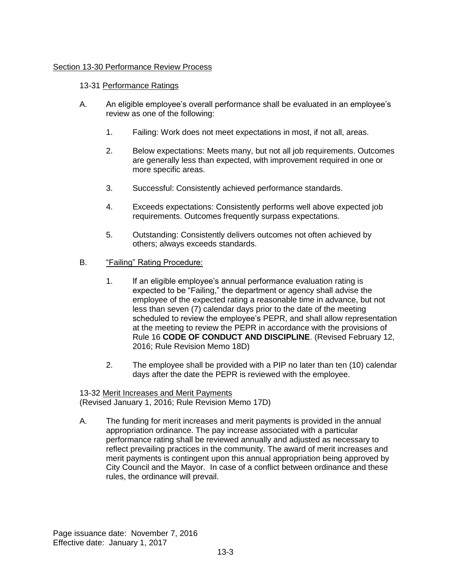# Section 13-30 Performance Review Process

### 13-31 Performance Ratings

- A. An eligible employee's overall performance shall be evaluated in an employee's review as one of the following:
	- 1. Failing: Work does not meet expectations in most, if not all, areas.
	- 2. Below expectations: Meets many, but not all job requirements. Outcomes are generally less than expected, with improvement required in one or more specific areas.
	- 3. Successful: Consistently achieved performance standards.
	- 4. Exceeds expectations: Consistently performs well above expected job requirements. Outcomes frequently surpass expectations.
	- 5. Outstanding: Consistently delivers outcomes not often achieved by others; always exceeds standards.
- B. "Failing" Rating Procedure:
	- 1. If an eligible employee's annual performance evaluation rating is expected to be "Failing," the department or agency shall advise the employee of the expected rating a reasonable time in advance, but not less than seven (7) calendar days prior to the date of the meeting scheduled to review the employee's PEPR, and shall allow representation at the meeting to review the PEPR in accordance with the provisions of Rule 16 **CODE OF CONDUCT AND DISCIPLINE**. (Revised February 12, 2016; Rule Revision Memo 18D)
	- 2. The employee shall be provided with a PIP no later than ten (10) calendar days after the date the PEPR is reviewed with the employee.

13-32 Merit Increases and Merit Payments (Revised January 1, 2016; Rule Revision Memo 17D)

A. The funding for merit increases and merit payments is provided in the annual appropriation ordinance. The pay increase associated with a particular performance rating shall be reviewed annually and adjusted as necessary to reflect prevailing practices in the community. The award of merit increases and merit payments is contingent upon this annual appropriation being approved by City Council and the Mayor. In case of a conflict between ordinance and these rules, the ordinance will prevail.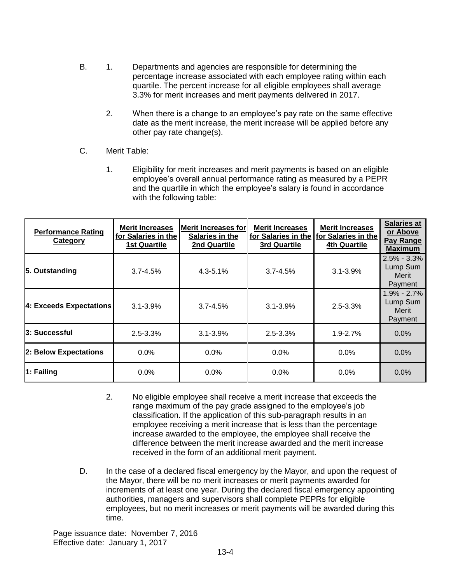- B. 1. Departments and agencies are responsible for determining the percentage increase associated with each employee rating within each quartile. The percent increase for all eligible employees shall average 3.3% for merit increases and merit payments delivered in 2017.
	- 2. When there is a change to an employee's pay rate on the same effective date as the merit increase, the merit increase will be applied before any other pay rate change(s).
- C. Merit Table:
	- 1. Eligibility for merit increases and merit payments is based on an eligible employee's overall annual performance rating as measured by a PEPR and the quartile in which the employee's salary is found in accordance with the following table:

| <b>Performance Rating</b><br>Category | <b>Merit Increases</b><br>for Salaries in the<br><b>1st Quartile</b> | <b>IMerit Increases for</b><br>Salaries in the<br>2nd Quartile | <b>Merit Increases</b><br>3rd Quartile | <b>Merit Increases</b><br>for Salaries in the for Salaries in the<br><b>4th Quartile</b> | <b>Salaries at</b><br>or Above<br>Pay Range<br><b>Maximum</b> |
|---------------------------------------|----------------------------------------------------------------------|----------------------------------------------------------------|----------------------------------------|------------------------------------------------------------------------------------------|---------------------------------------------------------------|
| 5. Outstanding                        | $3.7 - 4.5%$                                                         | $4.3 - 5.1%$                                                   | $3.7 - 4.5\%$                          | $3.1 - 3.9%$                                                                             | $2.5\% - 3.3\%$<br>Lump Sum<br>Merit<br>Payment               |
| 4: Exceeds Expectations               | $3.1 - 3.9%$                                                         | $3.7 - 4.5%$                                                   | $3.1 - 3.9%$                           | $2.5 - 3.3%$                                                                             | $1.9\% - 2.7\%$<br>Lump Sum<br>Merit<br>Payment               |
| 3: Successful                         | $2.5 - 3.3%$                                                         | $3.1 - 3.9%$                                                   | $2.5 - 3.3%$                           | 1.9-2.7%                                                                                 | 0.0%                                                          |
| 2: Below Expectations                 | $0.0\%$                                                              | $0.0\%$                                                        | $0.0\%$                                | $0.0\%$                                                                                  | $0.0\%$                                                       |
| 1: Failing                            | $0.0\%$                                                              | $0.0\%$                                                        | $0.0\%$                                | $0.0\%$                                                                                  | 0.0%                                                          |

- 2. No eligible employee shall receive a merit increase that exceeds the range maximum of the pay grade assigned to the employee's job classification. If the application of this sub-paragraph results in an employee receiving a merit increase that is less than the percentage increase awarded to the employee, the employee shall receive the difference between the merit increase awarded and the merit increase received in the form of an additional merit payment.
- D. In the case of a declared fiscal emergency by the Mayor, and upon the request of the Mayor, there will be no merit increases or merit payments awarded for increments of at least one year. During the declared fiscal emergency appointing authorities, managers and supervisors shall complete PEPRs for eligible employees, but no merit increases or merit payments will be awarded during this time.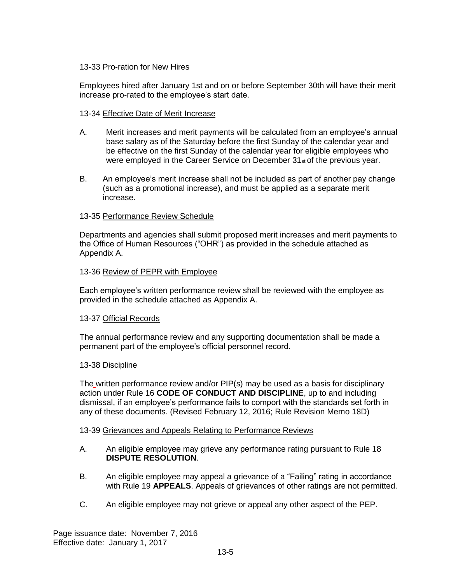# 13-33 Pro-ration for New Hires

Employees hired after January 1st and on or before September 30th will have their merit increase pro-rated to the employee's start date.

### 13-34 Effective Date of Merit Increase

- A. Merit increases and merit payments will be calculated from an employee's annual base salary as of the Saturday before the first Sunday of the calendar year and be effective on the first Sunday of the calendar year for eligible employees who were employed in the Career Service on December 31<sup>st</sup> of the previous year.
- B. An employee's merit increase shall not be included as part of another pay change (such as a promotional increase), and must be applied as a separate merit increase.

### 13-35 Performance Review Schedule

Departments and agencies shall submit proposed merit increases and merit payments to the Office of Human Resources ("OHR") as provided in the schedule attached as Appendix A.

#### 13-36 Review of PEPR with Employee

Each employee's written performance review shall be reviewed with the employee as provided in the schedule attached as Appendix A.

#### 13-37 Official Records

The annual performance review and any supporting documentation shall be made a permanent part of the employee's official personnel record.

#### 13-38 Discipline

The written performance review and/or PIP(s) may be used as a basis for disciplinary action under Rule 16 **CODE OF CONDUCT AND DISCIPLINE**, up to and including dismissal, if an employee's performance fails to comport with the standards set forth in any of these documents. (Revised February 12, 2016; Rule Revision Memo 18D)

#### 13-39 Grievances and Appeals Relating to Performance Reviews

- A. An eligible employee may grieve any performance rating pursuant to Rule 18 **DISPUTE RESOLUTION**.
- B. An eligible employee may appeal a grievance of a "Failing" rating in accordance with Rule 19 **APPEALS**. Appeals of grievances of other ratings are not permitted.
- C. An eligible employee may not grieve or appeal any other aspect of the PEP.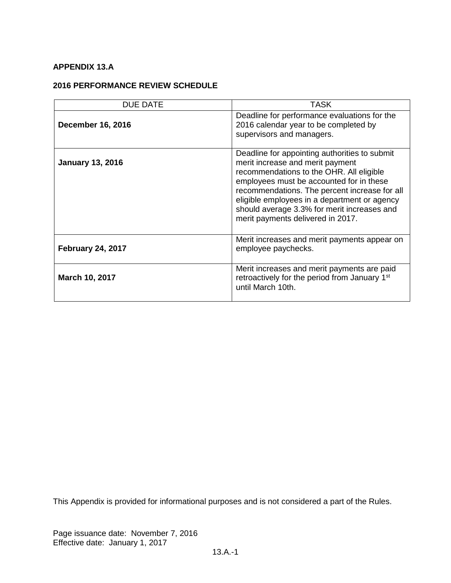# **APPENDIX 13.A**

# **2016 PERFORMANCE REVIEW SCHEDULE**

| <b>DUE DATE</b>          | TASK                                                                                                                                                                                                                                                                                                                                                           |
|--------------------------|----------------------------------------------------------------------------------------------------------------------------------------------------------------------------------------------------------------------------------------------------------------------------------------------------------------------------------------------------------------|
| <b>December 16, 2016</b> | Deadline for performance evaluations for the<br>2016 calendar year to be completed by<br>supervisors and managers.                                                                                                                                                                                                                                             |
| <b>January 13, 2016</b>  | Deadline for appointing authorities to submit<br>merit increase and merit payment<br>recommendations to the OHR. All eligible<br>employees must be accounted for in these<br>recommendations. The percent increase for all<br>eligible employees in a department or agency<br>should average 3.3% for merit increases and<br>merit payments delivered in 2017. |
| <b>February 24, 2017</b> | Merit increases and merit payments appear on<br>employee paychecks.                                                                                                                                                                                                                                                                                            |
| March 10, 2017           | Merit increases and merit payments are paid<br>retroactively for the period from January 1 <sup>st</sup><br>until March 10th.                                                                                                                                                                                                                                  |

This Appendix is provided for informational purposes and is not considered a part of the Rules.